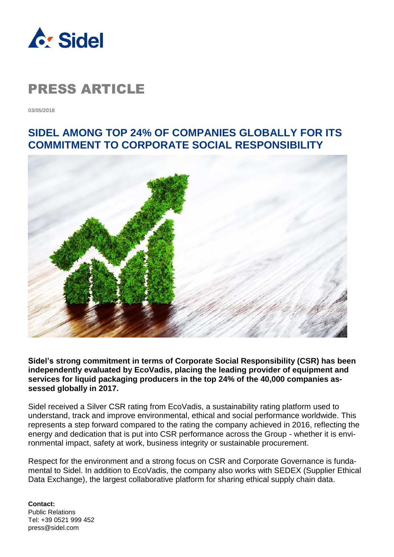

### PRESS ARTICLE

**03/05/2018**

#### **SIDEL AMONG TOP 24% OF COMPANIES GLOBALLY FOR ITS COMMITMENT TO CORPORATE SOCIAL RESPONSIBILITY**



**Sidel's strong commitment in terms of Corporate Social Responsibility (CSR) has been independently evaluated by EcoVadis, placing the leading provider of equipment and services for liquid packaging producers in the top 24% of the 40,000 companies assessed globally in 2017.**

Sidel received a Silver CSR rating from EcoVadis, a sustainability rating platform used to understand, track and improve environmental, ethical and social performance worldwide. This represents a step forward compared to the rating the company achieved in 2016, reflecting the energy and dedication that is put into CSR performance across the Group - whether it is environmental impact, safety at work, business integrity or sustainable procurement.

Respect for the environment and a strong focus on CSR and Corporate Governance is fundamental to Sidel. In addition to EcoVadis, the company also works with SEDEX (Supplier Ethical Data Exchange), the largest collaborative platform for sharing ethical supply chain data.

**Contact:** Public Relations Tel: +39 0521 999 452 press@sidel.com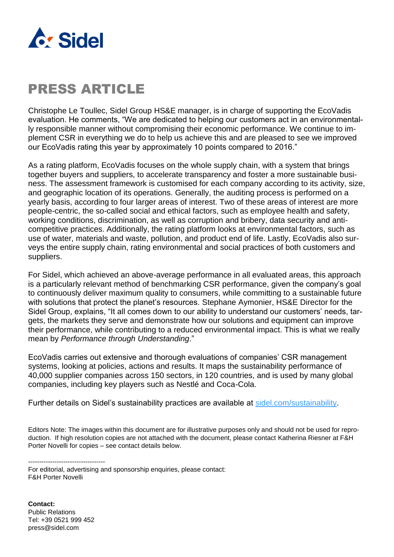

## PRESS ARTICLE

Christophe Le Toullec, Sidel Group HS&E manager, is in charge of supporting the EcoVadis evaluation. He comments, "We are dedicated to helping our customers act in an environmentally responsible manner without compromising their economic performance. We continue to implement CSR in everything we do to help us achieve this and are pleased to see we improved our EcoVadis rating this year by approximately 10 points compared to 2016."

As a rating platform, EcoVadis focuses on the whole supply chain, with a system that brings together buyers and suppliers, to accelerate transparency and foster a more sustainable business. The assessment framework is customised for each company according to its activity, size, and geographic location of its operations. Generally, the auditing process is performed on a yearly basis, according to four larger areas of interest. Two of these areas of interest are more people-centric, the so-called social and ethical factors, such as employee health and safety, working conditions, discrimination, as well as corruption and bribery, data security and anticompetitive practices. Additionally, the rating platform looks at environmental factors, such as use of water, materials and waste, pollution, and product end of life. Lastly, EcoVadis also surveys the entire supply chain, rating environmental and social practices of both customers and suppliers.

For Sidel, which achieved an above-average performance in all evaluated areas, this approach is a particularly relevant method of benchmarking CSR performance, given the company's goal to continuously deliver maximum quality to consumers, while committing to a sustainable future with solutions that protect the planet's resources. Stephane Aymonier, HS&E Director for the Sidel Group, explains, "It all comes down to our ability to understand our customers' needs, targets, the markets they serve and demonstrate how our solutions and equipment can improve their performance, while contributing to a reduced environmental impact. This is what we really mean by *Performance through Understanding*."

EcoVadis carries out extensive and thorough evaluations of companies' CSR management systems, looking at policies, actions and results. It maps the sustainability performance of 40,000 supplier companies across 150 sectors, in 120 countries, and is used by many global companies, including key players such as Nestlé and Coca-Cola.

Further details on Sidel's sustainability practices are available at [sidel.com/sustainability.](http://www.sidel.com/about-sidel/sustainability)

Editors Note: The images within this document are for illustrative purposes only and should not be used for reproduction. If high resolution copies are not attached with the document, please contact Katherina Riesner at F&H Porter Novelli for copies – see contact details below.

-----------------------------------

For editorial, advertising and sponsorship enquiries, please contact: F&H Porter Novelli

**Contact:** Public Relations Tel: +39 0521 999 452 press@sidel.com